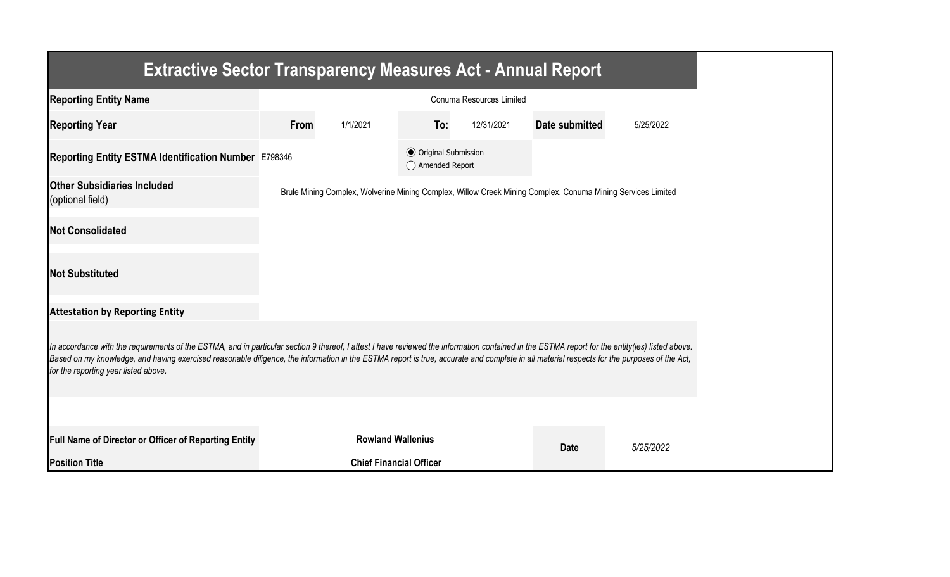| <b>Extractive Sector Transparency Measures Act - Annual Report</b>                                                                                                                                                                                                                                                                                                                                                                    |                          |                                |                                                  |            |                                                                                                             |           |  |  |
|---------------------------------------------------------------------------------------------------------------------------------------------------------------------------------------------------------------------------------------------------------------------------------------------------------------------------------------------------------------------------------------------------------------------------------------|--------------------------|--------------------------------|--------------------------------------------------|------------|-------------------------------------------------------------------------------------------------------------|-----------|--|--|
| <b>Reporting Entity Name</b>                                                                                                                                                                                                                                                                                                                                                                                                          | Conuma Resources Limited |                                |                                                  |            |                                                                                                             |           |  |  |
| <b>Reporting Year</b>                                                                                                                                                                                                                                                                                                                                                                                                                 | From                     | 1/1/2021                       | To:                                              | 12/31/2021 | Date submitted                                                                                              | 5/25/2022 |  |  |
| Reporting Entity ESTMA Identification Number E798346                                                                                                                                                                                                                                                                                                                                                                                  |                          |                                | <b>◎</b> Original Submission<br>◯ Amended Report |            |                                                                                                             |           |  |  |
| <b>Other Subsidiaries Included</b><br>(optional field)                                                                                                                                                                                                                                                                                                                                                                                |                          |                                |                                                  |            | Brule Mining Complex, Wolverine Mining Complex, Willow Creek Mining Complex, Conuma Mining Services Limited |           |  |  |
| <b>Not Consolidated</b>                                                                                                                                                                                                                                                                                                                                                                                                               |                          |                                |                                                  |            |                                                                                                             |           |  |  |
| <b>Not Substituted</b>                                                                                                                                                                                                                                                                                                                                                                                                                |                          |                                |                                                  |            |                                                                                                             |           |  |  |
| <b>Attestation by Reporting Entity</b>                                                                                                                                                                                                                                                                                                                                                                                                |                          |                                |                                                  |            |                                                                                                             |           |  |  |
| In accordance with the requirements of the ESTMA, and in particular section 9 thereof, I attest I have reviewed the information contained in the ESTMA report for the entity(ies) listed above.<br>Based on my knowledge, and having exercised reasonable diligence, the information in the ESTMA report is true, accurate and complete in all material respects for the purposes of the Act,<br>for the reporting year listed above. |                          |                                |                                                  |            |                                                                                                             |           |  |  |
|                                                                                                                                                                                                                                                                                                                                                                                                                                       |                          |                                |                                                  |            |                                                                                                             |           |  |  |
| Full Name of Director or Officer of Reporting Entity                                                                                                                                                                                                                                                                                                                                                                                  |                          | <b>Rowland Wallenius</b>       |                                                  |            | <b>Date</b>                                                                                                 | 5/25/2022 |  |  |
| <b>Position Title</b>                                                                                                                                                                                                                                                                                                                                                                                                                 |                          | <b>Chief Financial Officer</b> |                                                  |            |                                                                                                             |           |  |  |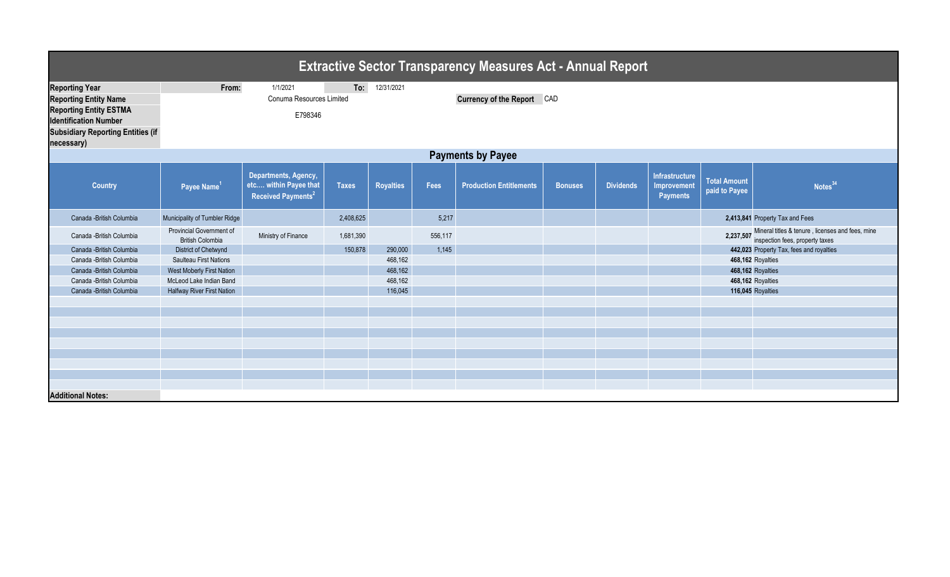| <b>Extractive Sector Transparency Measures Act - Annual Report</b> |                                                     |                                                                                 |              |                  |         |                                |                |                  |                                                  |                                      |                                                                                               |  |
|--------------------------------------------------------------------|-----------------------------------------------------|---------------------------------------------------------------------------------|--------------|------------------|---------|--------------------------------|----------------|------------------|--------------------------------------------------|--------------------------------------|-----------------------------------------------------------------------------------------------|--|
| <b>Reporting Year</b>                                              | From:                                               | 1/1/2021                                                                        | To:          | 12/31/2021       |         |                                |                |                  |                                                  |                                      |                                                                                               |  |
| <b>Reporting Entity Name</b>                                       |                                                     | Conuma Resources Limited                                                        |              |                  |         | Currency of the Report CAD     |                |                  |                                                  |                                      |                                                                                               |  |
| <b>Reporting Entity ESTMA</b>                                      | E798346                                             |                                                                                 |              |                  |         |                                |                |                  |                                                  |                                      |                                                                                               |  |
| <b>Identification Number</b>                                       |                                                     |                                                                                 |              |                  |         |                                |                |                  |                                                  |                                      |                                                                                               |  |
| <b>Subsidiary Reporting Entities (if</b>                           |                                                     |                                                                                 |              |                  |         |                                |                |                  |                                                  |                                      |                                                                                               |  |
| necessary)                                                         |                                                     |                                                                                 |              |                  |         |                                |                |                  |                                                  |                                      |                                                                                               |  |
| <b>Payments by Payee</b>                                           |                                                     |                                                                                 |              |                  |         |                                |                |                  |                                                  |                                      |                                                                                               |  |
| <b>Country</b>                                                     | Payee Name <sup>1</sup>                             | Departments, Agency,<br>etc within Payee that<br>Received Payments <sup>2</sup> | <b>Taxes</b> | <b>Royalties</b> | Fees    | <b>Production Entitlements</b> | <b>Bonuses</b> | <b>Dividends</b> | Infrastructure<br>Improvement<br><b>Payments</b> | <b>Total Amount</b><br>paid to Payee | Notes <sup>34</sup>                                                                           |  |
| Canada - British Columbia                                          | Municipality of Tumbler Ridge                       |                                                                                 | 2,408,625    |                  | 5,217   |                                |                |                  |                                                  |                                      | 2,413,841 Property Tax and Fees                                                               |  |
| Canada - British Columbia                                          | Provincial Government of<br><b>British Colombia</b> | Ministry of Finance                                                             | 1,681,390    |                  | 556,117 |                                |                |                  |                                                  |                                      | 2,237,507 Mineral titles & tenure, licenses and fees, mine<br>inspection fees, property taxes |  |
| Canada - British Columbia                                          | District of Chetwynd                                |                                                                                 | 150,878      | 290,000          | 1,145   |                                |                |                  |                                                  |                                      | 442,023 Property Tax, fees and royalties                                                      |  |
| Canada - British Columbia                                          | <b>Saulteau First Nations</b>                       |                                                                                 |              | 468,162          |         |                                |                |                  |                                                  |                                      | 468,162 Royalties                                                                             |  |
| Canada - British Columbia                                          | West Moberly First Nation                           |                                                                                 |              | 468,162          |         |                                |                |                  |                                                  |                                      | 468,162 Royalties                                                                             |  |
| Canada - British Columbia                                          | McLeod Lake Indian Band                             |                                                                                 |              | 468,162          |         |                                |                |                  |                                                  |                                      | 468,162 Royalties                                                                             |  |
| Canada - British Columbia                                          | <b>Halfway River First Nation</b>                   |                                                                                 |              | 116,045          |         |                                |                |                  |                                                  |                                      | 116,045 Royalties                                                                             |  |
|                                                                    |                                                     |                                                                                 |              |                  |         |                                |                |                  |                                                  |                                      |                                                                                               |  |
|                                                                    |                                                     |                                                                                 |              |                  |         |                                |                |                  |                                                  |                                      |                                                                                               |  |
|                                                                    |                                                     |                                                                                 |              |                  |         |                                |                |                  |                                                  |                                      |                                                                                               |  |
|                                                                    |                                                     |                                                                                 |              |                  |         |                                |                |                  |                                                  |                                      |                                                                                               |  |
|                                                                    |                                                     |                                                                                 |              |                  |         |                                |                |                  |                                                  |                                      |                                                                                               |  |
|                                                                    |                                                     |                                                                                 |              |                  |         |                                |                |                  |                                                  |                                      |                                                                                               |  |
|                                                                    |                                                     |                                                                                 |              |                  |         |                                |                |                  |                                                  |                                      |                                                                                               |  |
|                                                                    |                                                     |                                                                                 |              |                  |         |                                |                |                  |                                                  |                                      |                                                                                               |  |
| <b>Additional Notes:</b>                                           |                                                     |                                                                                 |              |                  |         |                                |                |                  |                                                  |                                      |                                                                                               |  |